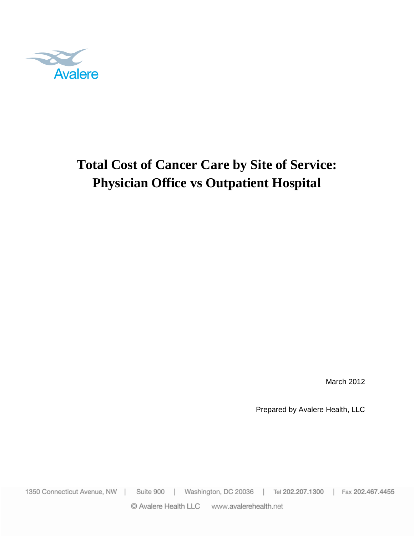

# **Total Cost of Cancer Care by Site of Service: Physician Office vs Outpatient Hospital**

March 2012

Prepared by Avalere Health, LLC

1350 Connecticut Avenue, NW | Suite 900 | Washington, DC 20036 | Tel 202.207.1300 | Fax 202.467.4455

© Avalere Health LLC www.avalerehealth.net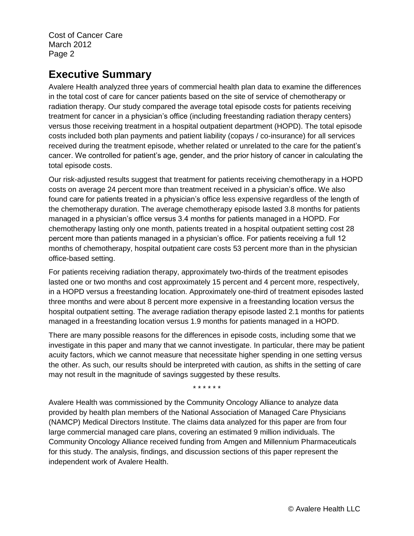## **Executive Summary**

Avalere Health analyzed three years of commercial health plan data to examine the differences in the total cost of care for cancer patients based on the site of service of chemotherapy or radiation therapy. Our study compared the average total episode costs for patients receiving treatment for cancer in a physician's office (including freestanding radiation therapy centers) versus those receiving treatment in a hospital outpatient department (HOPD). The total episode costs included both plan payments and patient liability (copays / co-insurance) for all services received during the treatment episode, whether related or unrelated to the care for the patient's cancer. We controlled for patient's age, gender, and the prior history of cancer in calculating the total episode costs.

Our risk-adjusted results suggest that treatment for patients receiving chemotherapy in a HOPD costs on average 24 percent more than treatment received in a physician's office. We also found care for patients treated in a physician's office less expensive regardless of the length of the chemotherapy duration. The average chemotherapy episode lasted 3.8 months for patients managed in a physician's office versus 3.4 months for patients managed in a HOPD. For chemotherapy lasting only one month, patients treated in a hospital outpatient setting cost 28 percent more than patients managed in a physician's office. For patients receiving a full 12 months of chemotherapy, hospital outpatient care costs 53 percent more than in the physician office-based setting.

For patients receiving radiation therapy, approximately two-thirds of the treatment episodes lasted one or two months and cost approximately 15 percent and 4 percent more, respectively, in a HOPD versus a freestanding location. Approximately one-third of treatment episodes lasted three months and were about 8 percent more expensive in a freestanding location versus the hospital outpatient setting. The average radiation therapy episode lasted 2.1 months for patients managed in a freestanding location versus 1.9 months for patients managed in a HOPD.

There are many possible reasons for the differences in episode costs, including some that we investigate in this paper and many that we cannot investigate. In particular, there may be patient acuity factors, which we cannot measure that necessitate higher spending in one setting versus the other. As such, our results should be interpreted with caution, as shifts in the setting of care may not result in the magnitude of savings suggested by these results.

\* \* \* \* \* \*

Avalere Health was commissioned by the Community Oncology Alliance to analyze data provided by health plan members of the National Association of Managed Care Physicians (NAMCP) Medical Directors Institute. The claims data analyzed for this paper are from four large commercial managed care plans, covering an estimated 9 million individuals. The Community Oncology Alliance received funding from Amgen and Millennium Pharmaceuticals for this study. The analysis, findings, and discussion sections of this paper represent the independent work of Avalere Health.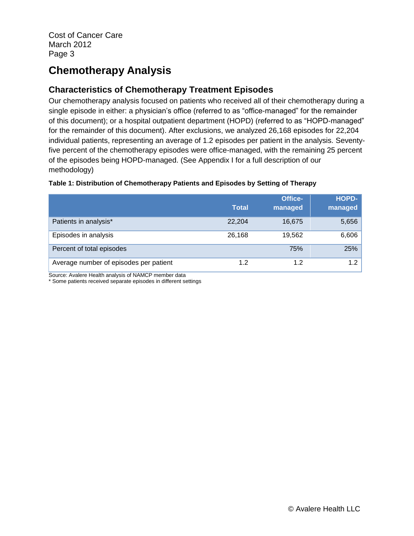## **Chemotherapy Analysis**

## **Characteristics of Chemotherapy Treatment Episodes**

Our chemotherapy analysis focused on patients who received all of their chemotherapy during a single episode in either: a physician's office (referred to as "office-managed" for the remainder of this document); or a hospital outpatient department (HOPD) (referred to as "HOPD-managed" for the remainder of this document). After exclusions, we analyzed 26,168 episodes for 22,204 individual patients, representing an average of 1.2 episodes per patient in the analysis. Seventyfive percent of the chemotherapy episodes were office-managed, with the remaining 25 percent of the episodes being HOPD-managed. (See Appendix I for a full description of our methodology)

#### **Table 1: Distribution of Chemotherapy Patients and Episodes by Setting of Therapy**

|                                        | Total  | <b>Office-</b><br>managed | <b>HOPD-</b><br>managed |
|----------------------------------------|--------|---------------------------|-------------------------|
| Patients in analysis*                  | 22.204 | 16,675                    | 5,656                   |
| Episodes in analysis                   | 26,168 | 19,562                    | 6,606                   |
| Percent of total episodes              |        | 75%                       | 25%                     |
| Average number of episodes per patient | 1.2    | 1.2                       | 1.2                     |

Source: Avalere Health analysis of NAMCP member data

\* Some patients received separate episodes in different settings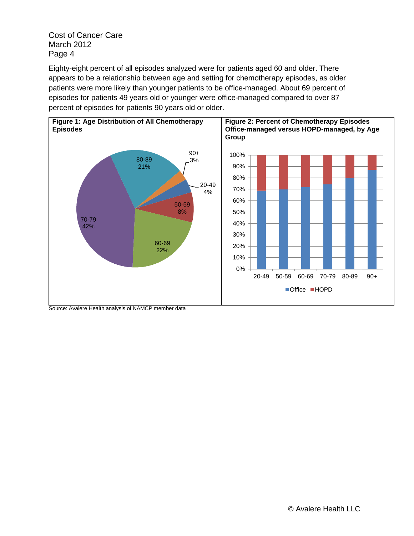Eighty-eight percent of all episodes analyzed were for patients aged 60 and older. There appears to be a relationship between age and setting for chemotherapy episodes, as older patients were more likely than younger patients to be office-managed. About 69 percent of episodes for patients 49 years old or younger were office-managed compared to over 87 percent of episodes for patients 90 years old or older.



Source: Avalere Health analysis of NAMCP member data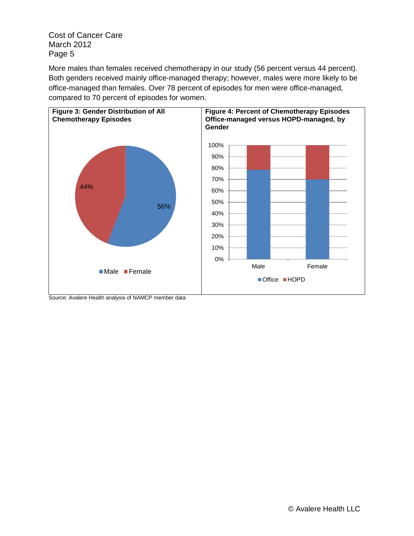More males than females received chemotherapy in our study (56 percent versus 44 percent). Both genders received mainly office-managed therapy; however, males were more likely to be office-managed than females. Over 78 percent of episodes for men were office-managed, compared to 70 percent of episodes for women.



Source: Avalere Health analysis of NAMCP member data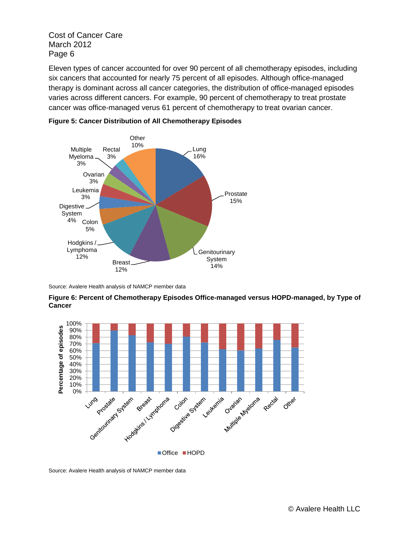Eleven types of cancer accounted for over 90 percent of all chemotherapy episodes, including six cancers that accounted for nearly 75 percent of all episodes. Although office-managed therapy is dominant across all cancer categories, the distribution of office-managed episodes varies across different cancers. For example, 90 percent of chemotherapy to treat prostate cancer was office-managed verus 61 percent of chemotherapy to treat ovarian cancer.





Source: Avalere Health analysis of NAMCP member data



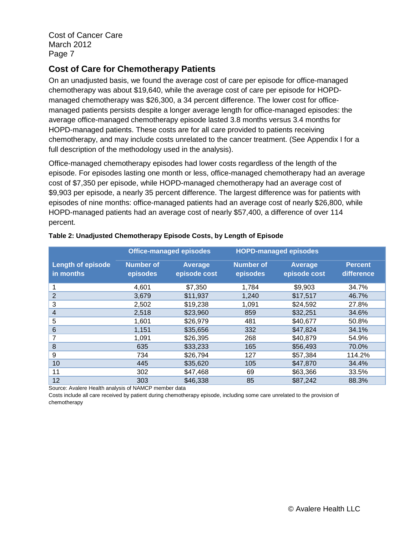### **Cost of Care for Chemotherapy Patients**

On an unadjusted basis, we found the average cost of care per episode for office-managed chemotherapy was about \$19,640, while the average cost of care per episode for HOPDmanaged chemotherapy was \$26,300, a 34 percent difference. The lower cost for officemanaged patients persists despite a longer average length for office-managed episodes: the average office-managed chemotherapy episode lasted 3.8 months versus 3.4 months for HOPD-managed patients. These costs are for all care provided to patients receiving chemotherapy, and may include costs unrelated to the cancer treatment. (See Appendix I for a full description of the methodology used in the analysis).

Office-managed chemotherapy episodes had lower costs regardless of the length of the episode. For episodes lasting one month or less, office-managed chemotherapy had an average cost of \$7,350 per episode, while HOPD-managed chemotherapy had an average cost of \$9,903 per episode, a nearly 35 percent difference. The largest difference was for patients with episodes of nine months: office-managed patients had an average cost of nearly \$26,800, while HOPD-managed patients had an average cost of nearly \$57,400, a difference of over 114 percent.

|                                       | <b>Office-managed episodes</b> |                                | <b>HOPD-managed episodes</b> |                                |                              |
|---------------------------------------|--------------------------------|--------------------------------|------------------------------|--------------------------------|------------------------------|
| <b>Length of episode</b><br>in months | <b>Number of</b><br>episodes   | <b>Average</b><br>episode cost | <b>Number of</b><br>episodes | <b>Average</b><br>episode cost | <b>Percent</b><br>difference |
|                                       | 4,601                          | \$7,350                        | 1,784                        | \$9,903                        | 34.7%                        |
| $\overline{2}$                        | 3,679                          | \$11,937                       | 1,240                        | \$17,517                       | 46.7%                        |
| 3                                     | 2,502                          | \$19,238                       | 1,091                        | \$24,592                       | 27.8%                        |
| $\overline{4}$                        | 2,518                          | \$23,960                       | 859                          | \$32,251                       | 34.6%                        |
| 5                                     | 1,601                          | \$26,979                       | 481                          | \$40,677                       | 50.8%                        |
| 6                                     | 1,151                          | \$35,656                       | 332                          | \$47,824                       | 34.1%                        |
| 7                                     | 1,091                          | \$26,395                       | 268                          | \$40,879                       | 54.9%                        |
| 8                                     | 635                            | \$33,233                       | 165                          | \$56,493                       | 70.0%                        |
| 9                                     | 734                            | \$26,794                       | 127                          | \$57,384                       | 114.2%                       |
| 10                                    | 445                            | \$35,620                       | 105                          | \$47,870                       | 34.4%                        |
| 11                                    | 302                            | \$47,468                       | 69                           | \$63,366                       | 33.5%                        |
| 12                                    | 303                            | \$46,338                       | 85                           | \$87,242                       | 88.3%                        |

#### **Table 2: Unadjusted Chemotherapy Episode Costs, by Length of Episode**

Source: Avalere Health analysis of NAMCP member data

Costs include all care received by patient during chemotherapy episode, including some care unrelated to the provision of chemotherapy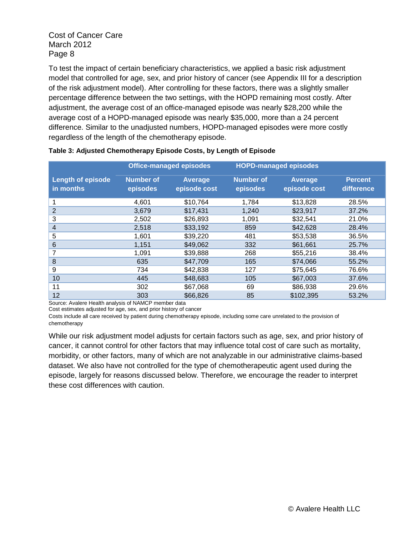To test the impact of certain beneficiary characteristics, we applied a basic risk adjustment model that controlled for age, sex, and prior history of cancer (see Appendix III for a description of the risk adjustment model). After controlling for these factors, there was a slightly smaller percentage difference between the two settings, with the HOPD remaining most costly. After adjustment, the average cost of an office-managed episode was nearly \$28,200 while the average cost of a HOPD-managed episode was nearly \$35,000, more than a 24 percent difference. Similar to the unadjusted numbers, HOPD-managed episodes were more costly regardless of the length of the chemotherapy episode.

|                                                     | <b>Office-managed episodes</b> |                                |                              | <b>HOPD-managed episodes</b>   |                              |  |
|-----------------------------------------------------|--------------------------------|--------------------------------|------------------------------|--------------------------------|------------------------------|--|
| <b>Length of episode</b><br>in months               | <b>Number of</b><br>episodes   | <b>Average</b><br>episode cost | <b>Number of</b><br>episodes | <b>Average</b><br>episode cost | <b>Percent</b><br>difference |  |
|                                                     | 4,601                          | \$10,764                       | 1,784                        | \$13,828                       | 28.5%                        |  |
| 2                                                   | 3,679                          | \$17,431                       | 1,240                        | \$23,917                       | 37.2%                        |  |
| 3                                                   | 2,502                          | \$26,893                       | 1,091                        | \$32,541                       | 21.0%                        |  |
| 4                                                   | 2,518                          | \$33,192                       | 859                          | \$42,628                       | 28.4%                        |  |
| 5                                                   | 1,601                          | \$39,220                       | 481                          | \$53,538                       | 36.5%                        |  |
| 6                                                   | 1,151                          | \$49,062                       | 332                          | \$61,661                       | 25.7%                        |  |
|                                                     | 1,091                          | \$39,888                       | 268                          | \$55,216                       | 38.4%                        |  |
| 8                                                   | 635                            | \$47,709                       | 165                          | \$74,066                       | 55.2%                        |  |
| 9                                                   | 734                            | \$42,838                       | 127                          | \$75,645                       | 76.6%                        |  |
| 10                                                  | 445                            | \$48,683                       | 105                          | \$67,003                       | 37.6%                        |  |
| 11                                                  | 302                            | \$67,068                       | 69                           | \$86,938                       | 29.6%                        |  |
| 12<br>$\sim$ Associated the distribution of NIAMOD. | 303                            | \$66,826                       | 85                           | \$102,395                      | 53.2%                        |  |

#### **Table 3: Adjusted Chemotherapy Episode Costs, by Length of Episode**

Source: Avalere Health analysis of NAMCP member data

Cost estimates adjusted for age, sex, and prior history of cancer

Costs include all care received by patient during chemotherapy episode, including some care unrelated to the provision of chemotherapy

While our risk adjustment model adjusts for certain factors such as age, sex, and prior history of cancer, it cannot control for other factors that may influence total cost of care such as mortality, morbidity, or other factors, many of which are not analyzable in our administrative claims-based dataset. We also have not controlled for the type of chemotherapeutic agent used during the episode, largely for reasons discussed below. Therefore, we encourage the reader to interpret these cost differences with caution.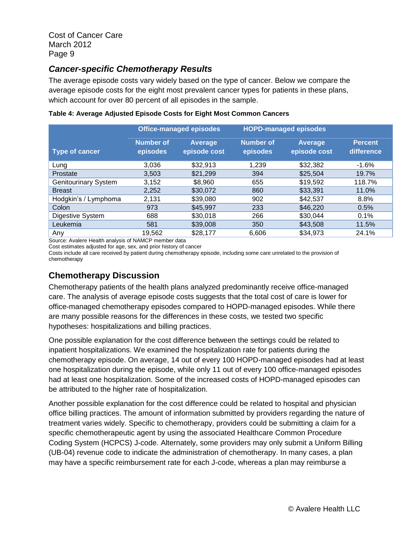### *Cancer-specific Chemotherapy Results*

The average episode costs vary widely based on the type of cancer. Below we compare the average episode costs for the eight most prevalent cancer types for patients in these plans, which account for over 80 percent of all episodes in the sample.

|                             |                              | <b>Office-managed episodes</b> |                              | <b>HOPD-managed episodes</b> |                              |  |
|-----------------------------|------------------------------|--------------------------------|------------------------------|------------------------------|------------------------------|--|
| <b>Type of cancer</b>       | <b>Number of</b><br>episodes | Average<br>episode cost        | <b>Number of</b><br>episodes | Average<br>episode cost      | <b>Percent</b><br>difference |  |
| Lung                        | 3,036                        | \$32,913                       | 1,239                        | \$32,382                     | $-1.6%$                      |  |
| Prostate                    | 3,503                        | \$21,299                       | 394                          | \$25,504                     | 19.7%                        |  |
| <b>Genitourinary System</b> | 3,152                        | \$8.960                        | 655                          | \$19,592                     | 118.7%                       |  |
| <b>Breast</b>               | 2,252                        | \$30,072                       | 860                          | \$33,391                     | 11.0%                        |  |
| Hodgkin's / Lymphoma        | 2,131                        | \$39,080                       | 902                          | \$42,537                     | 8.8%                         |  |
| Colon                       | 973                          | \$45,997                       | 233                          | \$46,220                     | 0.5%                         |  |
| Digestive System            | 688                          | \$30,018                       | 266                          | \$30,044                     | 0.1%                         |  |
| Leukemia                    | 581                          | \$39,008                       | 350                          | \$43,508                     | 11.5%                        |  |
| Any                         | 19.562                       | \$28,177                       | 6.606                        | \$34,973                     | 24.1%                        |  |

#### **Table 4: Average Adjusted Episode Costs for Eight Most Common Cancers**

Source: Avalere Health analysis of NAMCP member data

Cost estimates adjusted for age, sex, and prior history of cancer

Costs include all care received by patient during chemotherapy episode, including some care unrelated to the provision of chemotherapy

### **Chemotherapy Discussion**

Chemotherapy patients of the health plans analyzed predominantly receive office-managed care. The analysis of average episode costs suggests that the total cost of care is lower for office-managed chemotherapy episodes compared to HOPD-managed episodes. While there are many possible reasons for the differences in these costs, we tested two specific hypotheses: hospitalizations and billing practices.

One possible explanation for the cost difference between the settings could be related to inpatient hospitalizations. We examined the hospitalization rate for patients during the chemotherapy episode. On average, 14 out of every 100 HOPD-managed episodes had at least one hospitalization during the episode, while only 11 out of every 100 office-managed episodes had at least one hospitalization. Some of the increased costs of HOPD-managed episodes can be attributed to the higher rate of hospitalization.

Another possible explanation for the cost difference could be related to hospital and physician office billing practices. The amount of information submitted by providers regarding the nature of treatment varies widely. Specific to chemotherapy, providers could be submitting a claim for a specific chemotherapeutic agent by using the associated Healthcare Common Procedure Coding System (HCPCS) J-code. Alternately, some providers may only submit a Uniform Billing (UB-04) revenue code to indicate the administration of chemotherapy. In many cases, a plan may have a specific reimbursement rate for each J-code, whereas a plan may reimburse a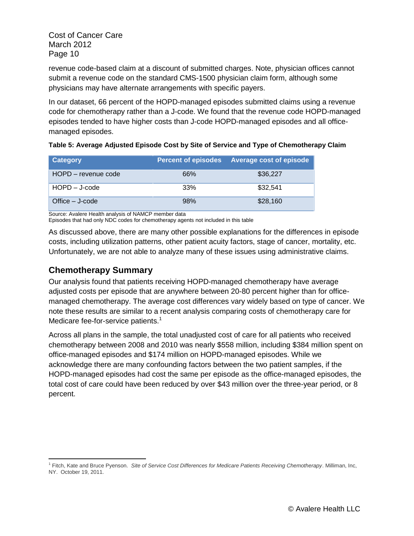revenue code-based claim at a discount of submitted charges. Note, physician offices cannot submit a revenue code on the standard CMS-1500 physician claim form, although some physicians may have alternate arrangements with specific payers.

In our dataset, 66 percent of the HOPD-managed episodes submitted claims using a revenue code for chemotherapy rather than a J-code. We found that the revenue code HOPD-managed episodes tended to have higher costs than J-code HOPD-managed episodes and all officemanaged episodes.

| Table 5: Average Adjusted Episode Cost by Site of Service and Type of Chemotherapy Claim |  |  |  |  |
|------------------------------------------------------------------------------------------|--|--|--|--|
|                                                                                          |  |  |  |  |

| Category            | <b>Percent of episodes</b> | <b>Average cost of episode</b> |
|---------------------|----------------------------|--------------------------------|
| HOPD - revenue code | 66%                        | \$36,227                       |
| $HOPD - J-code$     | 33%                        | \$32.541                       |
| Office $-$ J-code   | 98%                        | \$28,160                       |

Source: Avalere Health analysis of NAMCP member data

Episodes that had only NDC codes for chemotherapy agents not included in this table

As discussed above, there are many other possible explanations for the differences in episode costs, including utilization patterns, other patient acuity factors, stage of cancer, mortality, etc. Unfortunately, we are not able to analyze many of these issues using administrative claims.

### **Chemotherapy Summary**

Our analysis found that patients receiving HOPD-managed chemotherapy have average adjusted costs per episode that are anywhere between 20-80 percent higher than for officemanaged chemotherapy. The average cost differences vary widely based on type of cancer. We note these results are similar to a recent analysis comparing costs of chemotherapy care for Medicare fee-for-service patients.<sup>1</sup>

Across all plans in the sample, the total unadjusted cost of care for all patients who received chemotherapy between 2008 and 2010 was nearly \$558 million, including \$384 million spent on office-managed episodes and \$174 million on HOPD-managed episodes. While we acknowledge there are many confounding factors between the two patient samples, if the HOPD-managed episodes had cost the same per episode as the office-managed episodes, the total cost of care could have been reduced by over \$43 million over the three-year period, or 8 percent.

 $\overline{a}$ 1 Fitch, Kate and Bruce Pyenson. *Site of Service Cost Differences for Medicare Patients Receiving Chemotherapy*. Milliman, Inc, NY. October 19, 2011.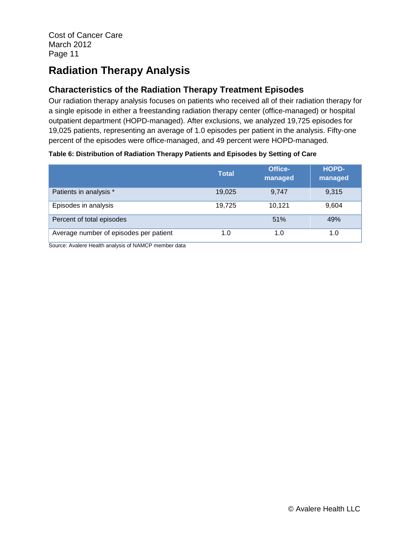## **Radiation Therapy Analysis**

## **Characteristics of the Radiation Therapy Treatment Episodes**

Our radiation therapy analysis focuses on patients who received all of their radiation therapy for a single episode in either a freestanding radiation therapy center (office-managed) or hospital outpatient department (HOPD-managed). After exclusions, we analyzed 19,725 episodes for 19,025 patients, representing an average of 1.0 episodes per patient in the analysis. Fifty-one percent of the episodes were office-managed, and 49 percent were HOPD-managed.

#### **Table 6: Distribution of Radiation Therapy Patients and Episodes by Setting of Care**

|                                        | <b>Total</b> | Office-<br>managed | <b>HOPD-</b><br>managed |
|----------------------------------------|--------------|--------------------|-------------------------|
| Patients in analysis *                 | 19,025       | 9.747              | 9,315                   |
| Episodes in analysis                   | 19,725       | 10.121             | 9,604                   |
| Percent of total episodes              |              | 51%                | 49%                     |
| Average number of episodes per patient | 1.0          | 1.0                | 1.0                     |

Source: Avalere Health analysis of NAMCP member data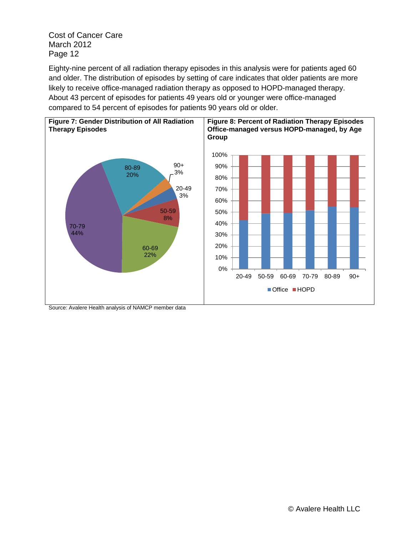Eighty-nine percent of all radiation therapy episodes in this analysis were for patients aged 60 and older. The distribution of episodes by setting of care indicates that older patients are more likely to receive office-managed radiation therapy as opposed to HOPD-managed therapy. About 43 percent of episodes for patients 49 years old or younger were office-managed compared to 54 percent of episodes for patients 90 years old or older.



Source: Avalere Health analysis of NAMCP member data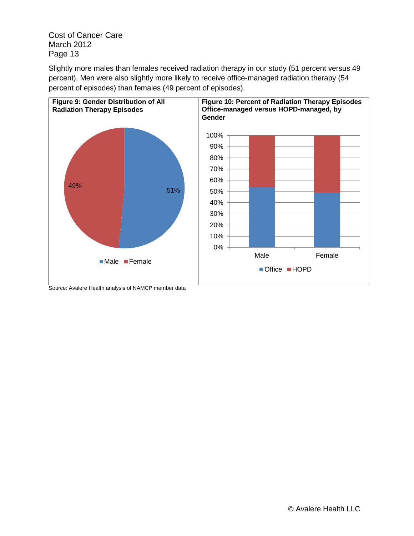Slightly more males than females received radiation therapy in our study (51 percent versus 49 percent). Men were also slightly more likely to receive office-managed radiation therapy (54 percent of episodes) than females (49 percent of episodes).



Source: Avalere Health analysis of NAMCP member data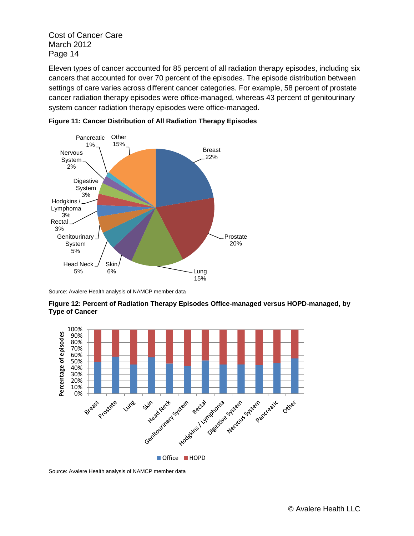Eleven types of cancer accounted for 85 percent of all radiation therapy episodes, including six cancers that accounted for over 70 percent of the episodes. The episode distribution between settings of care varies across different cancer categories. For example, 58 percent of prostate cancer radiation therapy episodes were office-managed, whereas 43 percent of genitourinary system cancer radiation therapy episodes were office-managed.





Source: Avalere Health analysis of NAMCP member data





Source: Avalere Health analysis of NAMCP member data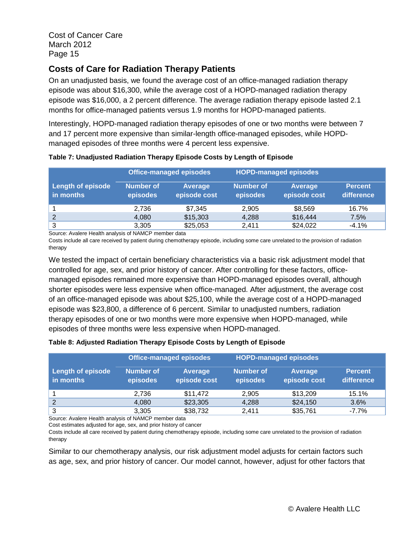## **Costs of Care for Radiation Therapy Patients**

On an unadjusted basis, we found the average cost of an office-managed radiation therapy episode was about \$16,300, while the average cost of a HOPD-managed radiation therapy episode was \$16,000, a 2 percent difference. The average radiation therapy episode lasted 2.1 months for office-managed patients versus 1.9 months for HOPD-managed patients.

Interestingly, HOPD-managed radiation therapy episodes of one or two months were between 7 and 17 percent more expensive than similar-length office-managed episodes, while HOPDmanaged episodes of three months were 4 percent less expensive.

|                                       | <b>Office-managed episodes</b> |                         |                       | <b>HOPD-managed episodes</b> |                              |  |
|---------------------------------------|--------------------------------|-------------------------|-----------------------|------------------------------|------------------------------|--|
| <b>Length of episode</b><br>in months | Number of<br>episodes          | Average<br>episode cost | Number of<br>episodes | Average<br>episode cost      | <b>Percent</b><br>difference |  |
|                                       | 2.736                          | \$7,345                 | 2.905                 | \$8,569                      | 16.7%                        |  |
| 2                                     | 4,080                          | \$15,303                | 4,288                 | \$16,444                     | 7.5%                         |  |
| 3                                     | 3,305<br>. <b>. .</b> .        | \$25,053                | 2.411                 | \$24,022                     | $-4.1%$                      |  |

#### **Table 7: Unadjusted Radiation Therapy Episode Costs by Length of Episode**

Source: Avalere Health analysis of NAMCP member data

Costs include all care received by patient during chemotherapy episode, including some care unrelated to the provision of radiation therapy

We tested the impact of certain beneficiary characteristics via a basic risk adjustment model that controlled for age, sex, and prior history of cancer. After controlling for these factors, officemanaged episodes remained more expensive than HOPD-managed episodes overall, although shorter episodes were less expensive when office-managed. After adjustment, the average cost of an office-managed episode was about \$25,100, while the average cost of a HOPD-managed episode was \$23,800, a difference of 6 percent. Similar to unadjusted numbers, radiation therapy episodes of one or two months were more expensive when HOPD-managed, while episodes of three months were less expensive when HOPD-managed.

#### **Table 8: Adjusted Radiation Therapy Episode Costs by Length of Episode**

|                                       | <b>Office-managed episodes</b> |                         |                       | <b>HOPD-managed episodes</b>   |                              |  |
|---------------------------------------|--------------------------------|-------------------------|-----------------------|--------------------------------|------------------------------|--|
| <b>Length of episode</b><br>in months | Number of<br>episodes          | Average<br>episode cost | Number of<br>episodes | <b>Average</b><br>episode cost | <b>Percent</b><br>difference |  |
|                                       | 2.736                          | \$11,472                | 2,905                 | \$13,209                       | 15.1%                        |  |
| 2                                     | 4,080                          | \$23,305                | 4,288                 | \$24,150                       | 3.6%                         |  |
| 3                                     | 3,305                          | \$38,732                | 2.411                 | \$35,761                       | $-7.7\%$                     |  |

Source: Avalere Health analysis of NAMCP member data

Cost estimates adjusted for age, sex, and prior history of cancer

Costs include all care received by patient during chemotherapy episode, including some care unrelated to the provision of radiation therapy

Similar to our chemotherapy analysis, our risk adjustment model adjusts for certain factors such as age, sex, and prior history of cancer. Our model cannot, however, adjust for other factors that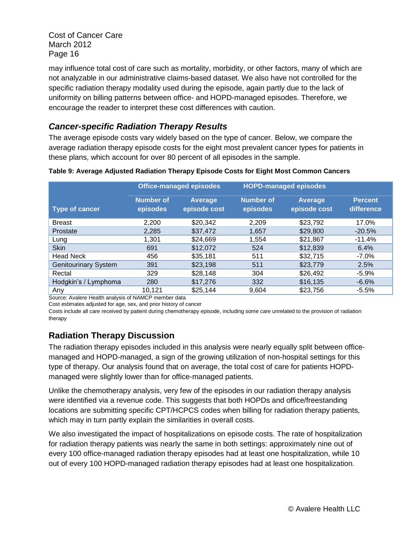may influence total cost of care such as mortality, morbidity, or other factors, many of which are not analyzable in our administrative claims-based dataset. We also have not controlled for the specific radiation therapy modality used during the episode, again partly due to the lack of uniformity on billing patterns between office- and HOPD-managed episodes. Therefore, we encourage the reader to interpret these cost differences with caution.

## *Cancer-specific Radiation Therapy Results*

The average episode costs vary widely based on the type of cancer. Below, we compare the average radiation therapy episode costs for the eight most prevalent cancer types for patients in these plans, which account for over 80 percent of all episodes in the sample.

|                             | <b>Office-managed episodes</b> |                         |                              | <b>HOPD-managed episodes</b> |                              |  |
|-----------------------------|--------------------------------|-------------------------|------------------------------|------------------------------|------------------------------|--|
| Type of cancer              | <b>Number of</b><br>episodes   | Average<br>episode cost | <b>Number of</b><br>episodes | Average<br>episode cost      | <b>Percent</b><br>difference |  |
| <b>Breast</b>               | 2,200                          | \$20,342                | 2,209                        | \$23,792                     | 17.0%                        |  |
| Prostate                    | 2,285                          | \$37,472                | 1,657                        | \$29,800                     | $-20.5%$                     |  |
| Lung                        | 1,301                          | \$24,669                | 1.554                        | \$21,867                     | $-11.4%$                     |  |
| <b>Skin</b>                 | 691                            | \$12,072                | 524                          | \$12,839                     | 6.4%                         |  |
| <b>Head Neck</b>            | 456                            | \$35,181                | 511                          | \$32,715                     | $-7.0\%$                     |  |
| <b>Genitourinary System</b> | 391                            | \$23,198                | 511                          | \$23,779                     | 2.5%                         |  |
| Rectal                      | 329                            | \$28,148                | 304                          | \$26,492                     | $-5.9%$                      |  |
| Hodgkin's / Lymphoma        | 280                            | \$17,276                | 332                          | \$16,135                     | $-6.6%$                      |  |
| Any                         | 10.121                         | \$25.144                | 9.604                        | \$23,756                     | $-5.5%$                      |  |

**Table 9: Average Adjusted Radiation Therapy Episode Costs for Eight Most Common Cancers**

Source: Avalere Health analysis of NAMCP member data

Cost estimates adjusted for age, sex, and prior history of cancer

Costs include all care received by patient during chemotherapy episode, including some care unrelated to the provision of radiation therapy

### **Radiation Therapy Discussion**

The radiation therapy episodes included in this analysis were nearly equally split between officemanaged and HOPD-managed, a sign of the growing utilization of non-hospital settings for this type of therapy. Our analysis found that on average, the total cost of care for patients HOPDmanaged were slightly lower than for office-managed patients.

Unlike the chemotherapy analysis, very few of the episodes in our radiation therapy analysis were identified via a revenue code. This suggests that both HOPDs and office/freestanding locations are submitting specific CPT/HCPCS codes when billing for radiation therapy patients, which may in turn partly explain the similarities in overall costs.

We also investigated the impact of hospitalizations on episode costs. The rate of hospitalization for radiation therapy patients was nearly the same in both settings: approximately nine out of every 100 office-managed radiation therapy episodes had at least one hospitalization, while 10 out of every 100 HOPD-managed radiation therapy episodes had at least one hospitalization.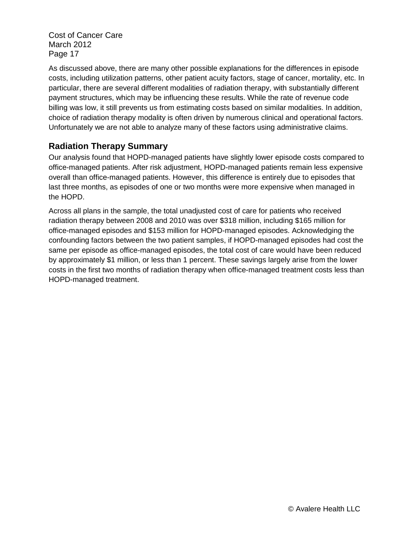As discussed above, there are many other possible explanations for the differences in episode costs, including utilization patterns, other patient acuity factors, stage of cancer, mortality, etc. In particular, there are several different modalities of radiation therapy, with substantially different payment structures, which may be influencing these results. While the rate of revenue code billing was low, it still prevents us from estimating costs based on similar modalities. In addition, choice of radiation therapy modality is often driven by numerous clinical and operational factors. Unfortunately we are not able to analyze many of these factors using administrative claims.

### **Radiation Therapy Summary**

Our analysis found that HOPD-managed patients have slightly lower episode costs compared to office-managed patients. After risk adjustment, HOPD-managed patients remain less expensive overall than office-managed patients. However, this difference is entirely due to episodes that last three months, as episodes of one or two months were more expensive when managed in the HOPD.

Across all plans in the sample, the total unadjusted cost of care for patients who received radiation therapy between 2008 and 2010 was over \$318 million, including \$165 million for office-managed episodes and \$153 million for HOPD-managed episodes. Acknowledging the confounding factors between the two patient samples, if HOPD-managed episodes had cost the same per episode as office-managed episodes, the total cost of care would have been reduced by approximately \$1 million, or less than 1 percent. These savings largely arise from the lower costs in the first two months of radiation therapy when office-managed treatment costs less than HOPD-managed treatment.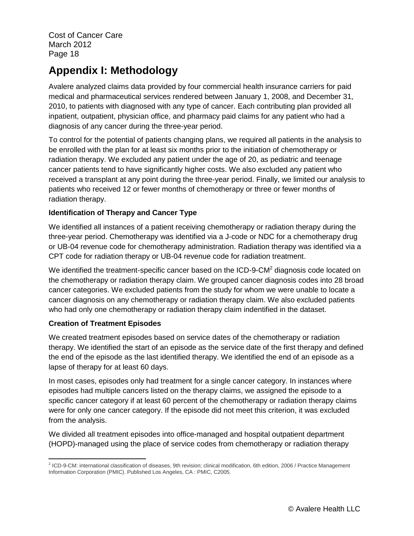## **Appendix I: Methodology**

Avalere analyzed claims data provided by four commercial health insurance carriers for paid medical and pharmaceutical services rendered between January 1, 2008, and December 31, 2010, to patients with diagnosed with any type of cancer. Each contributing plan provided all inpatient, outpatient, physician office, and pharmacy paid claims for any patient who had a diagnosis of any cancer during the three-year period.

To control for the potential of patients changing plans, we required all patients in the analysis to be enrolled with the plan for at least six months prior to the initiation of chemotherapy or radiation therapy. We excluded any patient under the age of 20, as pediatric and teenage cancer patients tend to have significantly higher costs. We also excluded any patient who received a transplant at any point during the three-year period. Finally, we limited our analysis to patients who received 12 or fewer months of chemotherapy or three or fewer months of radiation therapy.

#### **Identification of Therapy and Cancer Type**

We identified all instances of a patient receiving chemotherapy or radiation therapy during the three-year period. Chemotherapy was identified via a J-code or NDC for a chemotherapy drug or UB-04 revenue code for chemotherapy administration. Radiation therapy was identified via a CPT code for radiation therapy or UB-04 revenue code for radiation treatment.

We identified the treatment-specific cancer based on the ICD-9-CM<sup>2</sup> diagnosis code located on the chemotherapy or radiation therapy claim. We grouped cancer diagnosis codes into 28 broad cancer categories. We excluded patients from the study for whom we were unable to locate a cancer diagnosis on any chemotherapy or radiation therapy claim. We also excluded patients who had only one chemotherapy or radiation therapy claim indentified in the dataset.

#### **Creation of Treatment Episodes**

We created treatment episodes based on service dates of the chemotherapy or radiation therapy. We identified the start of an episode as the service date of the first therapy and defined the end of the episode as the last identified therapy. We identified the end of an episode as a lapse of therapy for at least 60 days.

In most cases, episodes only had treatment for a single cancer category. In instances where episodes had multiple cancers listed on the therapy claims, we assigned the episode to a specific cancer category if at least 60 percent of the chemotherapy or radiation therapy claims were for only one cancer category. If the episode did not meet this criterion, it was excluded from the analysis.

We divided all treatment episodes into office-managed and hospital outpatient department (HOPD)-managed using the place of service codes from chemotherapy or radiation therapy

 2 ICD-9-CM: international classification of diseases, 9th revision; clinical modification, 6th edition, 2006 / Practice Management Information Corporation (PMIC). Published Los Angeles, CA : PMIC, C2005.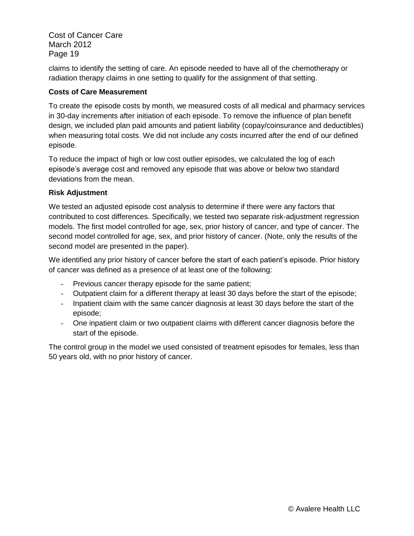claims to identify the setting of care. An episode needed to have all of the chemotherapy or radiation therapy claims in one setting to qualify for the assignment of that setting.

#### **Costs of Care Measurement**

To create the episode costs by month, we measured costs of all medical and pharmacy services in 30-day increments after initiation of each episode. To remove the influence of plan benefit design, we included plan paid amounts and patient liability (copay/coinsurance and deductibles) when measuring total costs. We did not include any costs incurred after the end of our defined episode.

To reduce the impact of high or low cost outlier episodes, we calculated the log of each episode's average cost and removed any episode that was above or below two standard deviations from the mean.

#### **Risk Adjustment**

We tested an adjusted episode cost analysis to determine if there were any factors that contributed to cost differences. Specifically, we tested two separate risk-adjustment regression models. The first model controlled for age, sex, prior history of cancer, and type of cancer. The second model controlled for age, sex, and prior history of cancer. (Note, only the results of the second model are presented in the paper).

We identified any prior history of cancer before the start of each patient's episode. Prior history of cancer was defined as a presence of at least one of the following:

- Previous cancer therapy episode for the same patient;
- Outpatient claim for a different therapy at least 30 days before the start of the episode;
- Inpatient claim with the same cancer diagnosis at least 30 days before the start of the episode;
- One inpatient claim or two outpatient claims with different cancer diagnosis before the start of the episode.

The control group in the model we used consisted of treatment episodes for females, less than 50 years old, with no prior history of cancer.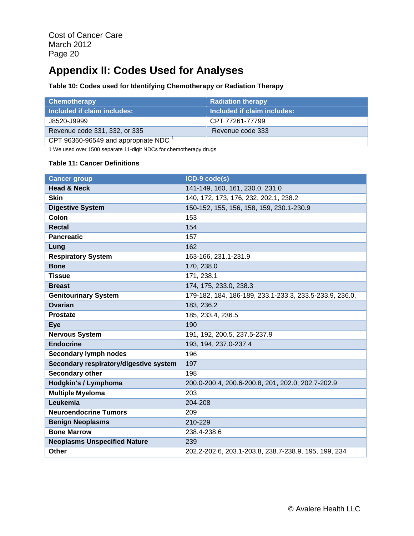## **Appendix II: Codes Used for Analyses**

#### **Table 10: Codes used for Identifying Chemotherapy or Radiation Therapy**

| Chemotherapy                                     | <b>Radiation therapy</b>    |
|--------------------------------------------------|-----------------------------|
| Included if claim includes:                      | Included if claim includes: |
| J8520-J9999                                      | CPT 77261-77799             |
| Revenue code 331, 332, or 335                    | Revenue code 333            |
| CPT 96360-96549 and appropriate NDC <sup>1</sup> |                             |

1 We used over 1500 separate 11-digit NDCs for chemotherapy drugs

#### **Table 11: Cancer Definitions**

| <b>Cancer group</b>                    | ICD-9 code(s)                                           |
|----------------------------------------|---------------------------------------------------------|
| <b>Head &amp; Neck</b>                 | 141-149, 160, 161, 230.0, 231.0                         |
| <b>Skin</b>                            | 140, 172, 173, 176, 232, 202.1, 238.2                   |
| <b>Digestive System</b>                | 150-152, 155, 156, 158, 159, 230.1-230.9                |
| Colon                                  | 153                                                     |
| <b>Rectal</b>                          | 154                                                     |
| <b>Pancreatic</b>                      | 157                                                     |
| Lung                                   | 162                                                     |
| <b>Respiratory System</b>              | 163-166, 231.1-231.9                                    |
| <b>Bone</b>                            | 170, 238.0                                              |
| <b>Tissue</b>                          | 171, 238.1                                              |
| <b>Breast</b>                          |                                                         |
|                                        | 174, 175, 233.0, 238.3                                  |
| <b>Genitourinary System</b>            | 179-182, 184, 186-189, 233.1-233.3, 233.5-233.9, 236.0, |
| Ovarian                                | 183, 236.2                                              |
| <b>Prostate</b>                        | 185, 233.4, 236.5                                       |
| <b>Eye</b>                             | 190                                                     |
| <b>Nervous System</b>                  | 191, 192, 200.5, 237.5-237.9                            |
| <b>Endocrine</b>                       | 193, 194, 237.0-237.4                                   |
| <b>Secondary lymph nodes</b>           | 196                                                     |
| Secondary respiratory/digestive system | 197                                                     |
| <b>Secondary other</b>                 | 198                                                     |
| Hodgkin's / Lymphoma                   | 200.0-200.4, 200.6-200.8, 201, 202.0, 202.7-202.9       |
| <b>Multiple Myeloma</b>                | 203                                                     |
| Leukemia                               | 204-208                                                 |
| <b>Neuroendocrine Tumors</b>           | 209                                                     |
| <b>Benign Neoplasms</b>                | 210-229                                                 |
| <b>Bone Marrow</b>                     | 238.4-238.6                                             |
| <b>Neoplasms Unspecified Nature</b>    | 239                                                     |
| <b>Other</b>                           | 202.2-202.6, 203.1-203.8, 238.7-238.9, 195, 199, 234    |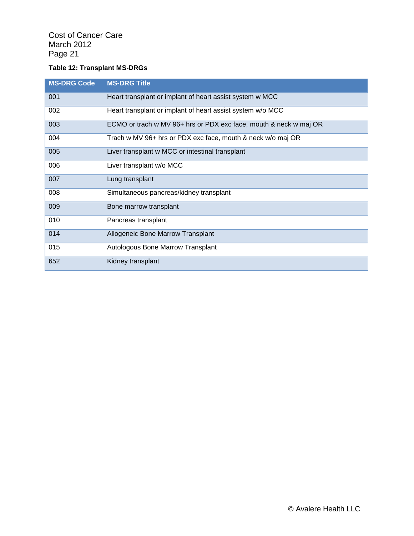#### **Table 12: Transplant MS-DRGs**

| <b>MS-DRG Code</b> | <b>MS-DRG Title</b>                                               |
|--------------------|-------------------------------------------------------------------|
| 001                | Heart transplant or implant of heart assist system w MCC          |
| 002                | Heart transplant or implant of heart assist system w/o MCC        |
| 003                | ECMO or trach w MV 96+ hrs or PDX exc face, mouth & neck w maj OR |
| 004                | Trach w MV 96+ hrs or PDX exc face, mouth & neck w/o maj OR       |
| 005                | Liver transplant w MCC or intestinal transplant                   |
| 006                | Liver transplant w/o MCC                                          |
| 007                | Lung transplant                                                   |
| 008                | Simultaneous pancreas/kidney transplant                           |
| 009                | Bone marrow transplant                                            |
| 010                | Pancreas transplant                                               |
| 014                | Allogeneic Bone Marrow Transplant                                 |
| 015                | Autologous Bone Marrow Transplant                                 |
| 652                | Kidney transplant                                                 |